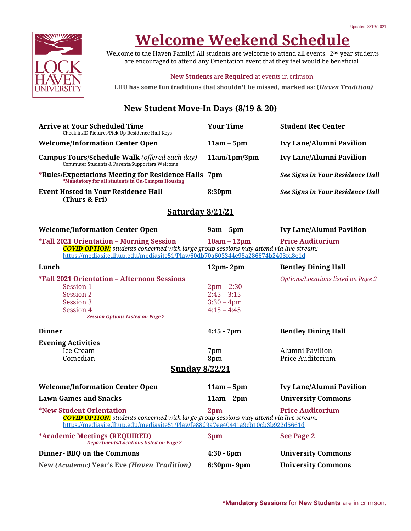

# **Welcome Weekend Schedule**

Welcome to the Haven Family! All students are welcome to attend all events. 2<sup>nd</sup> year students are encouraged to attend any Orientation event that they feel would be beneficial.

#### **New Students** are **Required** at events in crimson.

**LHU has some fun traditions that shouldn't be missed, marked as: (***Haven Tradition)*

### **New Student Move-In Days (8/19 & 20)**

| <b>Arrive at Your Scheduled Time</b><br>Check in/ID Pictures/Pick Up Residence Hall Keys                                                                                                                                                                                | <b>Your Time</b>                                                | <b>Student Rec Center</b>           |  |  |  |  |  |
|-------------------------------------------------------------------------------------------------------------------------------------------------------------------------------------------------------------------------------------------------------------------------|-----------------------------------------------------------------|-------------------------------------|--|--|--|--|--|
| <b>Welcome/Information Center Open</b>                                                                                                                                                                                                                                  | $11am - 5pm$                                                    | <b>Ivy Lane/Alumni Pavilion</b>     |  |  |  |  |  |
| Campus Tours/Schedule Walk (offered each day)<br>Commuter Students & Parents/Supporters Welcome                                                                                                                                                                         | 11am/1pm/3pm                                                    | <b>Ivy Lane/Alumni Pavilion</b>     |  |  |  |  |  |
| *Rules/Expectations Meeting for Residence Halls 7pm<br>*Mandatory for all students in On-Campus Housing                                                                                                                                                                 |                                                                 | See Signs in Your Residence Hall    |  |  |  |  |  |
| <b>Event Hosted in Your Residence Hall</b><br>(Thurs & Fri)                                                                                                                                                                                                             | 8:30pm                                                          | See Signs in Your Residence Hall    |  |  |  |  |  |
| <b>Saturday 8/21/21</b>                                                                                                                                                                                                                                                 |                                                                 |                                     |  |  |  |  |  |
| <b>Welcome/Information Center Open</b>                                                                                                                                                                                                                                  | $9am - 5pm$                                                     | <b>Ivy Lane/Alumni Pavilion</b>     |  |  |  |  |  |
| <b>Price Auditorium</b><br>*Fall 2021 Orientation – Morning Session<br>$10am - 12pm$<br><b>COVID OPTION:</b> students concerned with large group sessions may attend via live stream:<br>https://mediasite.lhup.edu/mediasite51/Play/60db70a603344e98a286674b2403fd8e1d |                                                                 |                                     |  |  |  |  |  |
| Lunch                                                                                                                                                                                                                                                                   | $12pm - 2pm$                                                    | <b>Bentley Dining Hall</b>          |  |  |  |  |  |
| *Fall 2021 Orientation - Afternoon Sessions<br>Session 1<br>Session 2<br>Session 3<br>Session 4<br><b>Session Options Listed on Page 2</b>                                                                                                                              | $2pm - 2:30$<br>$2:45 - 3:15$<br>$3:30 - 4$ pm<br>$4:15 - 4:45$ | Options/Locations listed on Page 2  |  |  |  |  |  |
| <b>Dinner</b>                                                                                                                                                                                                                                                           | $4:45 - 7$ pm                                                   | <b>Bentley Dining Hall</b>          |  |  |  |  |  |
| <b>Evening Activities</b><br><b>Ice Cream</b><br>Comedian                                                                                                                                                                                                               | 7pm<br>8pm                                                      | Alumni Pavilion<br>Price Auditorium |  |  |  |  |  |
| <b>Sunday 8/22/21</b>                                                                                                                                                                                                                                                   |                                                                 |                                     |  |  |  |  |  |
| <b>Welcome/Information Center Open</b>                                                                                                                                                                                                                                  | $11am - 5pm$                                                    | <b>Ivy Lane/Alumni Pavilion</b>     |  |  |  |  |  |
| <b>Lawn Games and Snacks</b>                                                                                                                                                                                                                                            | $11am - 2pm$                                                    | <b>University Commons</b>           |  |  |  |  |  |
| <b>Price Auditorium</b><br><i><b>*New Student Orientation</b></i><br>2 <sub>pm</sub><br><b>COVID OPTION:</b> students concerned with large group sessions may attend via live stream:<br>https://mediasite.lhup.edu/mediasite51/Play/fe88d9a7ee40441a9cb10cb3b922d5661d |                                                                 |                                     |  |  |  |  |  |
| *Academic Meetings (REQUIRED)<br><b>Departments/Locations listed on Page 2</b>                                                                                                                                                                                          | 3pm                                                             | See Page 2                          |  |  |  |  |  |
| <b>Dinner-BBQ on the Commons</b>                                                                                                                                                                                                                                        | $4:30 - 6$ pm                                                   | <b>University Commons</b>           |  |  |  |  |  |
| New (Academic) Year's Eve (Haven Tradition)                                                                                                                                                                                                                             | 6:30pm-9pm                                                      | <b>University Commons</b>           |  |  |  |  |  |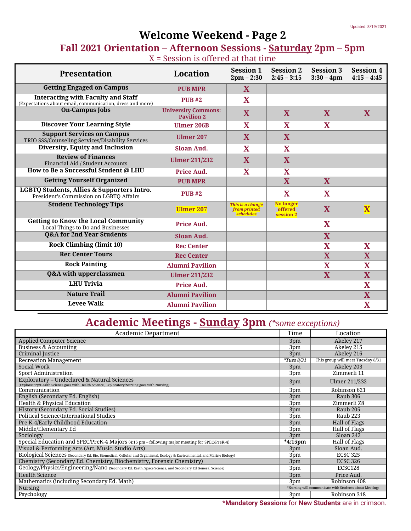## **Welcome Weekend - Page 2**

### **Fall 2021 Orientation – Afternoon Sessions - Saturday 2pm – 5pm**  $X =$  Session is offered at that time

| <b>Presentation</b>                                                                                    | Location                                        | <b>Session 1</b><br>$2pm - 2:30$              | <b>Session 2</b><br>$2:45 - 3:15$        | <b>Session 3</b><br>$3:30 - 4$ pm | <b>Session 4</b><br>$4:15 - 4:45$ |
|--------------------------------------------------------------------------------------------------------|-------------------------------------------------|-----------------------------------------------|------------------------------------------|-----------------------------------|-----------------------------------|
| <b>Getting Engaged on Campus</b>                                                                       | <b>PUB MPR</b>                                  | X                                             |                                          |                                   |                                   |
| <b>Interacting with Faculty and Staff</b><br>(Expectations about email, communication, dress and more) | <b>PUB#2</b>                                    | X                                             |                                          |                                   |                                   |
| <b>On-Campus Jobs</b>                                                                                  | <b>University Commons:</b><br><b>Pavilion 2</b> | X                                             | X                                        | X                                 | X                                 |
| <b>Discover Your Learning Style</b>                                                                    | <b>Ulmer 206B</b>                               | X                                             | X                                        | $\mathbf X$                       |                                   |
| <b>Support Services on Campus</b><br>TRIO SSS/Counseling Services/Disability Services                  | <b>Ulmer 207</b>                                | X                                             | X                                        |                                   |                                   |
| Diversity, Equity and Inclusion                                                                        | <b>Sloan Aud.</b>                               | X                                             | X                                        |                                   |                                   |
| <b>Review of Finances</b><br>Financial Aid / Student Accounts                                          | <b>Ulmer 211/232</b>                            | X                                             | X                                        |                                   |                                   |
| How to Be a Successful Student @ LHU                                                                   | Price Aud.                                      | X                                             | X                                        |                                   |                                   |
| <b>Getting Yourself Organized</b>                                                                      | <b>PUB MPR</b>                                  |                                               | X                                        | X                                 |                                   |
| LGBTQ Students, Allies & Supporters Intro.<br>President's Commission on LGBTQ Affairs                  | <b>PUB#2</b>                                    |                                               | X                                        | X                                 |                                   |
| <b>Student Technology Tips</b>                                                                         | <b>Ulmer 207</b>                                | This is a change<br>from printed<br>schedules | <b>No longer</b><br>offered<br>session 2 | X                                 | $\overline{\mathbf{X}}$           |
| <b>Getting to Know the Local Community</b><br>Local Things to Do and Businesses                        | Price Aud.                                      |                                               |                                          | $\mathbf X$                       |                                   |
| <b>Q&amp;A for 2nd Year Students</b>                                                                   | Sloan Aud.                                      |                                               |                                          | X                                 |                                   |
| <b>Rock Climbing (limit 10)</b>                                                                        | <b>Rec Center</b>                               |                                               |                                          | $\overline{\textbf{X}}$           | X                                 |
| <b>Rec Center Tours</b>                                                                                | <b>Rec Center</b>                               |                                               |                                          | $\overline{\textbf{X}}$           | $\overline{\mathbf{X}}$           |
| <b>Rock Painting</b>                                                                                   | <b>Alumni Pavilion</b>                          |                                               |                                          | $\mathbf X$                       | $\overline{\textbf{X}}$           |
| Q&A with upperclassmen                                                                                 | <b>Ulmer 211/232</b>                            |                                               |                                          | $\overline{\mathbf{X}}$           | $\overline{\mathbf{X}}$           |
| <b>LHU Trivia</b>                                                                                      | Price Aud.                                      |                                               |                                          |                                   | $\overline{\mathbf{X}}$           |
| <b>Nature Trail</b>                                                                                    | <b>Alumni Pavilion</b>                          |                                               |                                          |                                   | $\overline{\mathbf{X}}$           |
| <b>Levee Walk</b>                                                                                      | <b>Alumni Pavilion</b>                          |                                               |                                          |                                   | $\overline{\textbf{X}}$           |

## **Academic Meetings - Sunday 3pm** *(\*some exceptions)*

| <b>Academic Department</b>                                                                                                                  |                                                        | Location                          |
|---------------------------------------------------------------------------------------------------------------------------------------------|--------------------------------------------------------|-----------------------------------|
| <b>Applied Computer Science</b>                                                                                                             | 3pm                                                    | Akeley 217                        |
| <b>Business &amp; Accounting</b>                                                                                                            | 3pm                                                    | Akeley 215                        |
| Criminal Justice                                                                                                                            | 3pm                                                    | Akeley 216                        |
| <b>Recreation Management</b>                                                                                                                | $*Tues$ 8/31                                           | This group will meet Tuesday 8/31 |
| Social Work                                                                                                                                 | 3pm                                                    | Akeley 203                        |
| Sport Administration                                                                                                                        | 3pm                                                    | Zimmerli 11                       |
| Exploratory - Undeclared & Natural Sciences<br>(Exploratory/Health Science goes with Health Science, Exploratory/Nursing goes with Nursing) | 3pm                                                    | Ulmer 211/232                     |
| Communication                                                                                                                               | 3pm                                                    | Robinson 621                      |
| English (Secondary Ed. English)                                                                                                             | 3pm                                                    | Raub 306                          |
| Health & Physical Education                                                                                                                 | 3pm                                                    | Zimmerli Z8                       |
| History (Secondary Ed. Social Studies)                                                                                                      | 3pm                                                    | Raub 205                          |
| Political Science/International Studies                                                                                                     | 3pm                                                    | Raub 223                          |
| Pre K-4/Early Childhood Education                                                                                                           | 3pm                                                    | <b>Hall of Flags</b>              |
| Middle/Elementary Ed                                                                                                                        | 3pm                                                    | Hall of Flags                     |
| Sociology                                                                                                                                   | 3pm                                                    | Sloan 242                         |
| Special Education and SPEC/PreK-4 Majors (4:15 pm - following major meeting for SPEC/PreK-4)                                                | $*4:15$ pm                                             | Hall of Flags                     |
| Visual & Performing Arts (Art, Music, Studio Arts)                                                                                          | 3pm                                                    | Sloan Aud.                        |
| Biological Sciences (Secondary Ed. Bio, Biomedical, Cellular and Organismal, Ecology & Environmental, and Marine Biology)                   | 3pm                                                    | <b>ECSC 325</b>                   |
| Chemistry (Secondary Ed. Chemistry, Biochemistry, Forensic Chemistry)                                                                       | 3pm                                                    | <b>ECSC 326</b>                   |
| Geology/Physics/Engineering/Nano (Secondary Ed. Earth, Space Science, and Secondary Ed General Science)                                     | 3pm                                                    | ECSC128                           |
| <b>Health Science</b>                                                                                                                       | 3pm                                                    | Price Aud.                        |
| Mathematics (including Secondary Ed. Math)                                                                                                  |                                                        | Robinson 408                      |
| Nursing                                                                                                                                     | *Nursing will communicate with Students about Meetings |                                   |
| Psychology                                                                                                                                  | 3pm                                                    | Robinson 318                      |